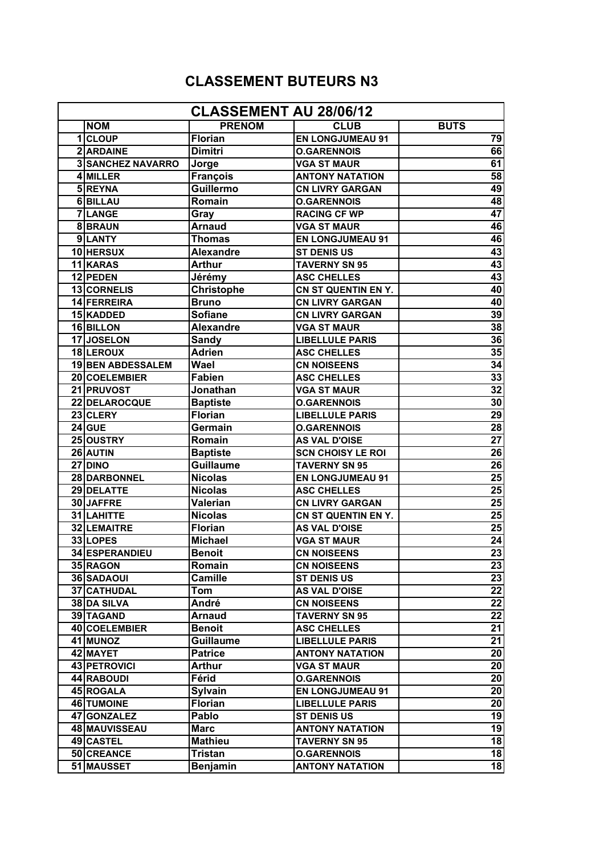## **CLASSEMENT BUTEURS N3**

| <b>CLASSEMENT AU 28/06/12</b> |                          |                  |                            |                 |  |
|-------------------------------|--------------------------|------------------|----------------------------|-----------------|--|
|                               | <b>NOM</b>               | <b>PRENOM</b>    | <b>CLUB</b>                | <b>BUTS</b>     |  |
|                               | 1 CLOUP                  | <b>Florian</b>   | <b>EN LONGJUMEAU 91</b>    | 79              |  |
|                               | 2 ARDAINE                | <b>Dimitri</b>   | <b>O.GARENNOIS</b>         | 66              |  |
|                               | <b>3 SANCHEZ NAVARRO</b> | Jorge            | <b>VGA ST MAUR</b>         | 61              |  |
|                               | 4 MILLER                 | <b>François</b>  | <b>ANTONY NATATION</b>     | 58              |  |
|                               | 5REYNA                   | <b>Guillermo</b> | <b>CN LIVRY GARGAN</b>     | 49              |  |
|                               | 6BILLAU                  | Romain           | <b>O.GARENNOIS</b>         | 48              |  |
|                               | 7LANGE                   | Gray             | <b>RACING CF WP</b>        | 47              |  |
|                               | 8BRAUN                   | <b>Arnaud</b>    | <b>VGA ST MAUR</b>         | 46              |  |
|                               | 9LANTY                   | <b>Thomas</b>    | <b>EN LONGJUMEAU 91</b>    | 46              |  |
|                               | 10 HERSUX                | <b>Alexandre</b> | <b>ST DENIS US</b>         | 43              |  |
|                               | 11 KARAS                 | <b>Arthur</b>    | <b>TAVERNY SN 95</b>       | 43              |  |
|                               | 12 PEDEN                 | Jérémy           | <b>ASC CHELLES</b>         | 43              |  |
|                               | 13 CORNELIS              | Christophe       | <b>CN ST QUENTIN EN Y.</b> | 40              |  |
|                               | 14 FERREIRA              | <b>Bruno</b>     | <b>CN LIVRY GARGAN</b>     | 40              |  |
|                               | 15 KADDED                | <b>Sofiane</b>   | <b>CN LIVRY GARGAN</b>     | 39              |  |
|                               | 16 BILLON                | <b>Alexandre</b> | <b>VGA ST MAUR</b>         | 38              |  |
|                               | 17JOSELON                | <b>Sandy</b>     | <b>LIBELLULE PARIS</b>     | 36              |  |
|                               | 18 LEROUX                | Adrien           | <b>ASC CHELLES</b>         | 35              |  |
|                               | <b>19 BEN ABDESSALEM</b> | Wael             | <b>CN NOISEENS</b>         | 34              |  |
|                               | 20 COELEMBIER            | <b>Fabien</b>    | <b>ASC CHELLES</b>         | 33              |  |
|                               | 21 PRUVOST               | Jonathan         | <b>VGA ST MAUR</b>         | 32              |  |
|                               | 22 DELAROCQUE            | <b>Baptiste</b>  | <b>O.GARENNOIS</b>         | 30              |  |
|                               | 23 CLERY                 | <b>Florian</b>   | <b>LIBELLULE PARIS</b>     | 29              |  |
|                               | $24$ GUE                 | Germain          | <b>O.GARENNOIS</b>         | 28              |  |
|                               | 25 OUSTRY                | Romain           | <b>AS VAL D'OISE</b>       | $\overline{27}$ |  |
|                               | 26 AUTIN                 | <b>Baptiste</b>  | <b>SCN CHOISY LE ROI</b>   | $\overline{26}$ |  |
|                               | 27 DINO                  | <b>Guillaume</b> | <b>TAVERNY SN 95</b>       | $\overline{26}$ |  |
|                               | 28 DARBONNEL             | <b>Nicolas</b>   | <b>EN LONGJUMEAU 91</b>    | 25              |  |
|                               | 29 DELATTE               | <b>Nicolas</b>   | <b>ASC CHELLES</b>         | 25              |  |
|                               | 30 JAFFRE                | Valerian         | <b>CN LIVRY GARGAN</b>     | 25              |  |
|                               | 31 LAHITTE               | <b>Nicolas</b>   | CN ST QUENTIN EN Y.        | 25              |  |
|                               | 32 LEMAITRE              | <b>Florian</b>   | <b>AS VAL D'OISE</b>       | 25              |  |
|                               | 33 LOPES                 | <b>Michael</b>   | <b>VGA ST MAUR</b>         | 24              |  |
|                               | 34 ESPERANDIEU           | <b>Benoit</b>    | <b>CN NOISEENS</b>         | 23              |  |
|                               | 35 RAGON                 | Romain           | <b>CN NOISEENS</b>         | 23              |  |
|                               | 36 SADAOUI               | Camille          | <b>ST DENIS US</b>         | 23              |  |
|                               | 37 CATHUDAL              | Tom              | <b>AS VAL D'OISE</b>       | 22              |  |
|                               | 38 DA SILVA              | André            | <b>CN NOISEENS</b>         | 22              |  |
|                               | 39 TAGAND                | <b>Arnaud</b>    | <b>TAVERNY SN 95</b>       | 22              |  |
|                               | 40 COELEMBIER            | <b>Benoit</b>    | <b>ASC CHELLES</b>         | 21              |  |
|                               | 41 MUNOZ                 | <b>Guillaume</b> | <b>LIBELLULE PARIS</b>     | 21              |  |
|                               | 42 MAYET                 | <b>Patrice</b>   | <b>ANTONY NATATION</b>     | 20              |  |
|                               | 43 PETROVICI             | Arthur           | <b>VGA ST MAUR</b>         | 20              |  |
|                               | 44 RABOUDI               | Férid            | <b>O.GARENNOIS</b>         | 20              |  |
|                               | 45 ROGALA                | Sylvain          | <b>EN LONGJUMEAU 91</b>    | 20              |  |
|                               | 46 TUMOINE               | <b>Florian</b>   | <b>LIBELLULE PARIS</b>     | 20              |  |
|                               | 47 GONZALEZ              | Pablo            | <b>ST DENIS US</b>         | 19              |  |
|                               | 48 MAUVISSEAU            | <b>Marc</b>      | <b>ANTONY NATATION</b>     | 19              |  |
|                               | 49 CASTEL                | <b>Mathieu</b>   | <b>TAVERNY SN 95</b>       | 18              |  |
|                               | 50 CREANCE               | Tristan          | <b>O.GARENNOIS</b>         | 18              |  |
|                               | 51 MAUSSET               | <b>Benjamin</b>  | <b>ANTONY NATATION</b>     | 18              |  |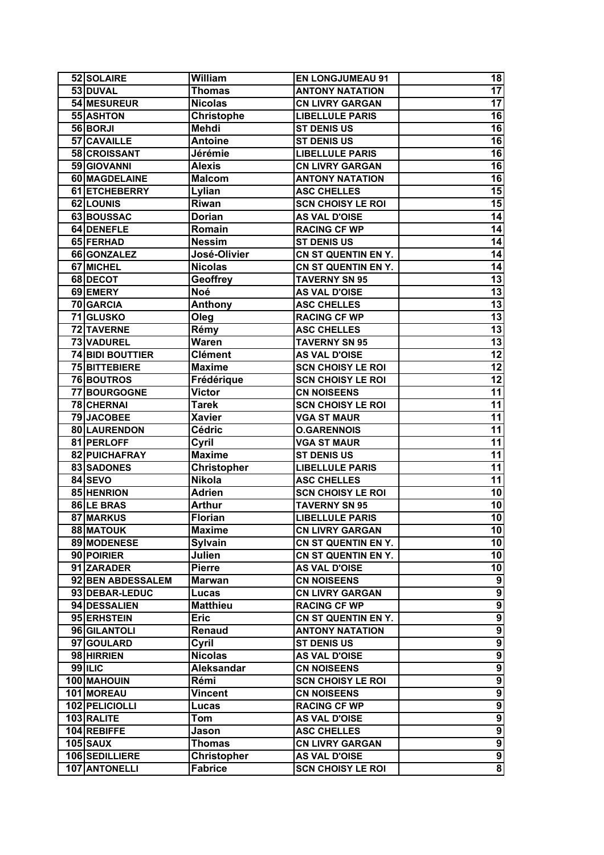| 52 SOLAIRE          | William            | <b>EN LONGJUMEAU 91</b>  | 18                      |
|---------------------|--------------------|--------------------------|-------------------------|
| 53 DUVAL            | <b>Thomas</b>      | <b>ANTONY NATATION</b>   | $\overline{17}$         |
| 54 MESUREUR         | <b>Nicolas</b>     | <b>CN LIVRY GARGAN</b>   | $\overline{17}$         |
| 55 ASHTON           | <b>Christophe</b>  | <b>LIBELLULE PARIS</b>   | 16                      |
| 56 BORJI            | <b>Mehdi</b>       | <b>ST DENIS US</b>       | $\overline{16}$         |
| 57 CAVAILLE         | <b>Antoine</b>     | <b>ST DENIS US</b>       | 16                      |
| 58 CROISSANT        | Jérémie            | <b>LIBELLULE PARIS</b>   | 16                      |
| 59 GIOVANNI         | <b>Alexis</b>      | <b>CN LIVRY GARGAN</b>   | 16                      |
| 60 MAGDELAINE       | <b>Malcom</b>      | <b>ANTONY NATATION</b>   | 16                      |
| 61 ETCHEBERRY       | Lylian             | <b>ASC CHELLES</b>       | 15                      |
| 62 LOUNIS           | Riwan              | <b>SCN CHOISY LE ROI</b> | 15                      |
| 63 BOUSSAC          | <b>Dorian</b>      | <b>AS VAL D'OISE</b>     | 14                      |
| 64 DENEFLE          | Romain             | <b>RACING CF WP</b>      | 14                      |
| 65 FERHAD           | <b>Nessim</b>      | <b>ST DENIS US</b>       | 14                      |
| 66 GONZALEZ         | José-Olivier       | CN ST QUENTIN EN Y.      | 14                      |
| 67 MICHEL           | <b>Nicolas</b>     | CN ST QUENTIN EN Y.      | 14                      |
| 68 DECOT            | Geoffrey           | <b>TAVERNY SN 95</b>     | 13                      |
| 69 EMERY            | Noé                | <b>AS VAL D'OISE</b>     | 13                      |
| 70 GARCIA           | Anthony            | <b>ASC CHELLES</b>       | 13                      |
| <b>71 GLUSKO</b>    | Oleg               | <b>RACING CF WP</b>      | 13                      |
| 72 TAVERNE          | Rémy               | <b>ASC CHELLES</b>       | 13                      |
| 73 VADUREL          | Waren              | <b>TAVERNY SN 95</b>     | $\overline{13}$         |
| 74 BIDI BOUTTIER    | <b>Clément</b>     | <b>AS VAL D'OISE</b>     | $\overline{12}$         |
| 75 BITTEBIERE       | <b>Maxime</b>      | <b>SCN CHOISY LE ROI</b> | 12                      |
| 76 BOUTROS          | Frédérique         | <b>SCN CHOISY LE ROI</b> | 12                      |
| <b>77 BOURGOGNE</b> | Victor             | <b>CN NOISEENS</b>       | 11                      |
| 78 CHERNAI          | Tarek              | <b>SCN CHOISY LE ROI</b> | 11                      |
| <b>79 JACOBEE</b>   | <b>Xavier</b>      | <b>VGA ST MAUR</b>       | 11                      |
| 80 LAURENDON        | Cédric             | <b>O.GARENNOIS</b>       | 11                      |
| 81 PERLOFF          | Cyril              | <b>VGA ST MAUR</b>       | 11                      |
| 82 PUICHAFRAY       | <b>Maxime</b>      | <b>ST DENIS US</b>       | 11                      |
| 83 SADONES          | <b>Christopher</b> | <b>LIBELLULE PARIS</b>   | 11                      |
| 84 SEVO             | <b>Nikola</b>      | <b>ASC CHELLES</b>       | 11                      |
| 85 HENRION          | <b>Adrien</b>      | <b>SCN CHOISY LE ROI</b> | 10                      |
| 86 LE BRAS          | <b>Arthur</b>      | <b>TAVERNY SN 95</b>     | 10                      |
| 87 MARKUS           | <b>Florian</b>     | <b>LIBELLULE PARIS</b>   | 10                      |
| 88 MATOUK           | <b>Maxime</b>      | <b>CN LIVRY GARGAN</b>   | 10                      |
| 89 MODENESE         | <b>Sylvain</b>     | CN ST QUENTIN EN Y.      | 10                      |
| 90 POIRIER          | Julien             | CN ST QUENTIN EN Y.      | 10                      |
| 91 ZARADER          | <b>Pierre</b>      | <b>AS VAL D'OISE</b>     | 10                      |
| 92 BEN ABDESSALEM   | Marwan             | <b>CN NOISEENS</b>       | $\boldsymbol{9}$        |
| 93 DEBAR-LEDUC      | Lucas              | <b>CN LIVRY GARGAN</b>   | $\overline{9}$          |
| 94 DESSALIEN        | <b>Matthieu</b>    | <b>RACING CF WP</b>      | $\overline{\mathbf{9}}$ |
| 95 ERHSTEIN         | <b>Eric</b>        | CN ST QUENTIN EN Y.      | $\overline{9}$          |
| 96 GILANTOLI        | Renaud             | <b>ANTONY NATATION</b>   | $\boldsymbol{9}$        |
| 97 GOULARD          | Cyril              | <b>ST DENIS US</b>       | $\boldsymbol{9}$        |
| 98 HIRRIEN          | <b>Nicolas</b>     | <b>AS VAL D'OISE</b>     | $\boldsymbol{9}$        |
| <b>99 ILIC</b>      | Aleksandar         | <b>CN NOISEENS</b>       | $\overline{9}$          |
| 100 MAHOUIN         | Rémi               | <b>SCN CHOISY LE ROI</b> | $\overline{9}$          |
| 101 MOREAU          | Vincent            | <b>CN NOISEENS</b>       | $\overline{9}$          |
| 102 PELICIOLLI      | Lucas              | <b>RACING CF WP</b>      | $\overline{9}$          |
| 103 RALITE          | Tom                | <b>AS VAL D'OISE</b>     | $\overline{9}$          |
| 104 REBIFFE         | Jason              | <b>ASC CHELLES</b>       | $\overline{9}$          |
| $105$ SAUX          | Thomas             | <b>CN LIVRY GARGAN</b>   | $\overline{9}$          |
| 106 SEDILLIERE      | <b>Christopher</b> | <b>AS VAL D'OISE</b>     | $\overline{9}$          |
| 107 ANTONELLI       | <b>Fabrice</b>     | <b>SCN CHOISY LE ROI</b> | $\infty$                |
|                     |                    |                          |                         |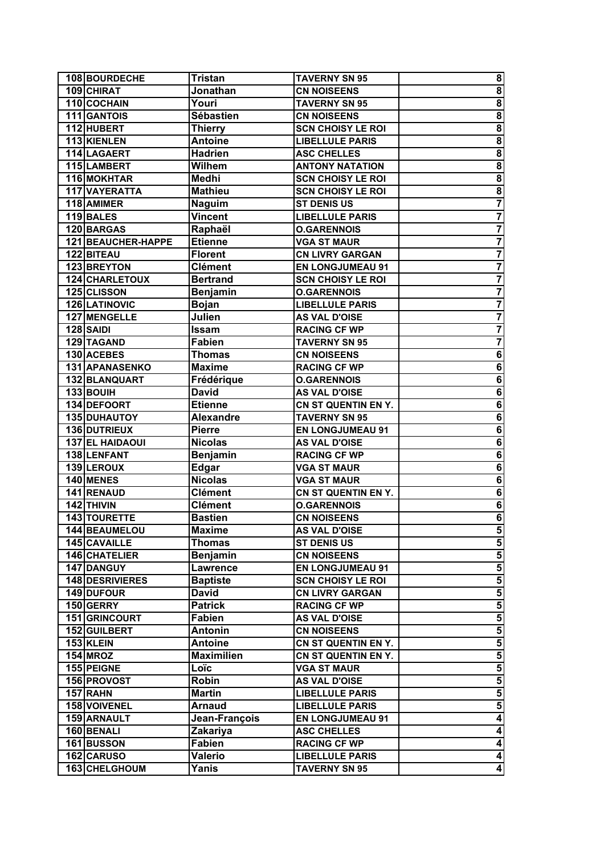| 108 BOURDECHE           | Tristan           | <b>TAVERNY SN 95</b>                             | 8                       |
|-------------------------|-------------------|--------------------------------------------------|-------------------------|
| 109 CHIRAT              | Jonathan          | <b>CN NOISEENS</b>                               | $\overline{\mathbf{8}}$ |
| 110 COCHAIN             | Youri             | <b>TAVERNY SN 95</b>                             | $\overline{\mathbf{8}}$ |
| 111 GANTOIS             | <b>Sébastien</b>  | <b>CN NOISEENS</b>                               | $\overline{\mathbf{8}}$ |
| 112 HUBERT              | <b>Thierry</b>    | <b>SCN CHOISY LE ROI</b>                         | $\overline{\mathbf{8}}$ |
| 113 KIENLEN             | <b>Antoine</b>    | <b>LIBELLULE PARIS</b>                           | 8                       |
| 114 LAGAERT             | <b>Hadrien</b>    | <b>ASC CHELLES</b>                               | $\overline{\mathbf{8}}$ |
| 115 LAMBERT             | <b>Wilhem</b>     | <b>ANTONY NATATION</b>                           | $\overline{\mathbf{8}}$ |
| 116 MOKHTAR             | Medhi             | <b>SCN CHOISY LE ROI</b>                         | $\overline{\mathbf{8}}$ |
| 117 VAYERATTA           | <b>Mathieu</b>    | <b>SCN CHOISY LE ROI</b>                         | $\overline{\mathbf{8}}$ |
| 118 AMIMER              | <b>Naguim</b>     | <b>ST DENIS US</b>                               | 7                       |
| 119 BALES               | Vincent           | <b>LIBELLULE PARIS</b>                           | $\overline{\mathbf{7}}$ |
| 120 BARGAS              | Raphaël           | <b>O.GARENNOIS</b>                               | $\overline{\mathbf{7}}$ |
| 121 BEAUCHER-HAPPE      | <b>Etienne</b>    | <b>VGA ST MAUR</b>                               | $\overline{\mathbf{7}}$ |
| 122 BITEAU              | <b>Florent</b>    | <b>CN LIVRY GARGAN</b>                           |                         |
| 123 BREYTON             | <b>Clément</b>    | <b>EN LONGJUMEAU 91</b>                          | $\overline{\mathbf{7}}$ |
| 124 CHARLETOUX          | Bertrand          | <b>SCN CHOISY LE ROI</b>                         | $\overline{\mathbf{7}}$ |
| 125 CLISSON             | Benjamin          | <b>O.GARENNOIS</b>                               | $\overline{\mathbf{7}}$ |
| 126 LATINOVIC           | Bojan             | <b>LIBELLULE PARIS</b>                           | $\overline{\mathbf{7}}$ |
| 127 MENGELLE            | Julien            | <b>AS VAL D'OISE</b>                             | $\overline{\mathbf{7}}$ |
| 128 SAIDI               | Issam             | <b>RACING CF WP</b>                              | $\overline{\mathbf{7}}$ |
| 129 TAGAND              | <b>Fabien</b>     | <b>TAVERNY SN 95</b>                             | 7                       |
| 130 ACEBES              | Thomas            | <b>CN NOISEENS</b>                               | 6                       |
| 131 APANASENKO          | <b>Maxime</b>     | <b>RACING CF WP</b>                              | $\overline{\mathbf{6}}$ |
| 132 BLANQUART           | Frédérique        | <b>O.GARENNOIS</b>                               | $\overline{\mathbf{6}}$ |
| 133 BOUIH               | <b>David</b>      | <b>AS VAL D'OISE</b>                             | $\overline{\mathbf{6}}$ |
| 134 DEFOORT             | <b>Etienne</b>    | CN ST QUENTIN EN Y.                              | $\overline{\mathbf{6}}$ |
| 135 DUHAUTOY            | <b>Alexandre</b>  | <b>TAVERNY SN 95</b>                             | $\bf 6$                 |
| 136 DUTRIEUX            | <b>Pierre</b>     | <b>EN LONGJUMEAU 91</b>                          | $\overline{\mathbf{6}}$ |
| 137 EL HAIDAOUI         | <b>Nicolas</b>    | <b>AS VAL D'OISE</b>                             | 6                       |
| 138 LENFANT             | <b>Benjamin</b>   | <b>RACING CF WP</b>                              | 6                       |
| 139 LEROUX              | Edgar             | <b>VGA ST MAUR</b>                               | $\overline{\mathbf{6}}$ |
| 140 MENES               | <b>Nicolas</b>    | <b>VGA ST MAUR</b>                               | $\overline{6}$          |
| 141 RENAUD              | <b>Clément</b>    | CN ST QUENTIN EN Y.                              | $\overline{6}$          |
| $\overline{142}$ THIVIN | <b>Clément</b>    | <b>O.GARENNOIS</b>                               | $\overline{6}$          |
| 143 TOURETTE            | <b>Bastien</b>    | <b>CN NOISEENS</b>                               | $\overline{\mathbf{6}}$ |
| 144 BEAUMELOU           | Maxime            | <b>AS VAL D'OISE</b>                             | 5                       |
| 145 CAVAILLE            | Thomas            | <b>ST DENIS US</b>                               | $\overline{\mathbf{5}}$ |
| 146 CHATELIER           | <b>Benjamin</b>   | <b>CN NOISEENS</b>                               | ${\bf 5}$               |
| 147 DANGUY              | Lawrence          | <b>EN LONGJUMEAU 91</b>                          | 5                       |
| 148 DESRIVIERES         | <b>Baptiste</b>   | <b>SCN CHOISY LE ROI</b>                         | $\overline{\mathbf{5}}$ |
| 149 DUFOUR              | David             | <b>CN LIVRY GARGAN</b>                           | $\overline{\mathbf{5}}$ |
| 150 GERRY               | <b>Patrick</b>    | <b>RACING CF WP</b>                              | $\overline{\mathbf{5}}$ |
| 151 GRINCOURT           | Fabien            | <b>AS VAL D'OISE</b>                             | $\overline{\mathbf{5}}$ |
| 152 GUILBERT            | Antonin           | <b>CN NOISEENS</b>                               | $\overline{\mathbf{5}}$ |
| $153$ KLEIN             | Antoine           | CN ST QUENTIN EN Y.                              | $\overline{\mathbf{5}}$ |
| <b>154 MROZ</b>         | <b>Maximilien</b> | CN ST QUENTIN EN Y.                              | $\overline{\mathbf{5}}$ |
| 155 PEIGNE              | Loïc              | <b>VGA ST MAUR</b>                               | 5                       |
| 156 PROVOST             | Robin             | <b>AS VAL D'OISE</b>                             | $\overline{\mathbf{5}}$ |
| $157$ RAHN              | <b>Martin</b>     |                                                  | $\overline{\mathbf{5}}$ |
| 158 VOIVENEL            | Arnaud            | <b>LIBELLULE PARIS</b><br><b>LIBELLULE PARIS</b> | $\overline{\mathbf{5}}$ |
|                         |                   |                                                  | $\overline{\mathbf{4}}$ |
| 159 ARNAULT             | Jean-François     | <b>EN LONGJUMEAU 91</b>                          |                         |
| 160 BENALI              | Zakariya          | <b>ASC CHELLES</b>                               | 4                       |
| 161 BUSSON              | Fabien            | <b>RACING CF WP</b>                              | 4                       |
| 162 CARUSO              | Valerio           | <b>LIBELLULE PARIS</b>                           | 4                       |
| 163 CHELGHOUM           | Yanis             | <b>TAVERNY SN 95</b>                             | $\overline{\mathbf{4}}$ |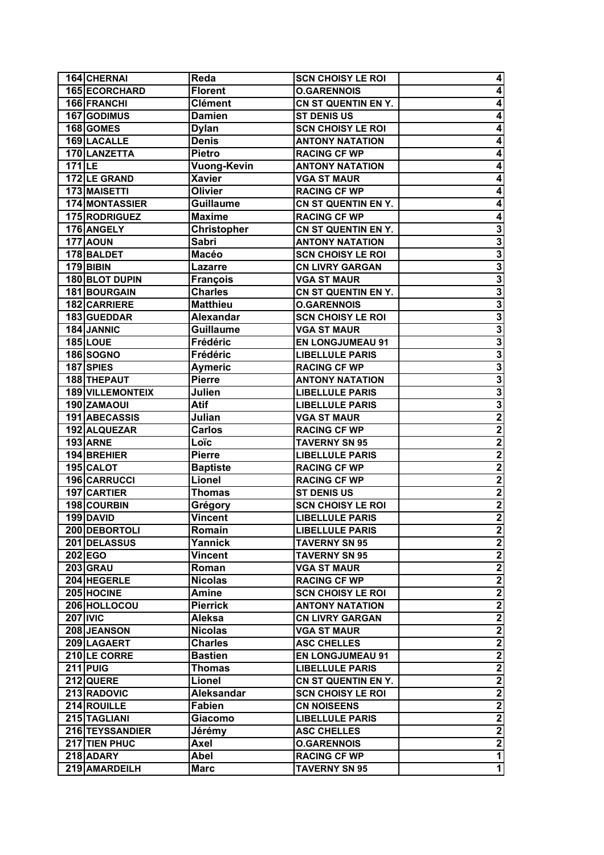| 165 ECORCHARD<br><b>Florent</b><br><b>O.GARENNOIS</b><br>4<br>166 FRANCHI<br><b>Clément</b><br>CN ST QUENTIN EN Y.<br>4<br>167 GODIMUS<br><b>Damien</b><br><b>ST DENIS US</b><br>4<br>168 GOMES<br><b>SCN CHOISY LE ROI</b><br>4<br><b>Dylan</b><br>169 LACALLE<br><b>ANTONY NATATION</b><br><b>Denis</b><br>4<br>170 LANZETTA<br>4<br><b>Pietro</b><br><b>RACING CF WP</b><br><b>Vuong-Kevin</b><br>$171$ LE<br><b>ANTONY NATATION</b><br>4<br>4<br>172 LE GRAND<br><b>VGA ST MAUR</b><br>Xavier<br>4<br>173 MAISETTI<br>Olivier<br><b>RACING CF WP</b><br>174 MONTASSIER<br><b>Guillaume</b><br>4<br>CN ST QUENTIN EN Y.<br>175 RODRIGUEZ<br><b>RACING CF WP</b><br>4<br><b>Maxime</b><br>3<br>176 ANGELY<br>Christopher<br>CN ST QUENTIN EN Y.<br>$\overline{3}$<br><b>177 AOUN</b><br><b>Sabri</b><br><b>ANTONY NATATION</b><br>$\overline{\mathbf{3}}$<br>178 BALDET<br>Macéo<br><b>SCN CHOISY LE ROI</b><br>$\overline{\mathbf{3}}$<br><b>179 BIBIN</b><br><b>CN LIVRY GARGAN</b><br>Lazarre<br>$\overline{\mathbf{3}}$<br>180 BLOT DUPIN<br><b>VGA ST MAUR</b><br><b>François</b><br>$\overline{\mathbf{3}}$<br>181 BOURGAIN<br><b>Charles</b><br>CN ST QUENTIN EN Y.<br>$\overline{3}$<br>182 CARRIERE<br><b>Matthieu</b><br><b>O.GARENNOIS</b><br>$\overline{\mathbf{3}}$<br><b>Alexandar</b><br>183 GUEDDAR<br><b>SCN CHOISY LE ROI</b><br>$\overline{\mathbf{3}}$<br><b>Guillaume</b><br><b>VGA ST MAUR</b><br>184 JANNIC<br>$\overline{\mathbf{3}}$<br><b>185 LOUE</b><br>Frédéric<br><b>EN LONGJUMEAU 91</b><br>$\overline{\mathbf{3}}$<br>Frédéric<br><b>LIBELLULE PARIS</b><br>186 SOGNO<br>$\overline{\mathbf{3}}$<br>187 SPIES<br><b>Aymeric</b><br><b>RACING CF WP</b><br>$\overline{\mathbf{3}}$<br>188 THEPAUT<br><b>Pierre</b><br><b>ANTONY NATATION</b><br>$\overline{\mathbf{3}}$<br><b>189 VILLEMONTEIX</b><br>Julien<br><b>LIBELLULE PARIS</b><br>190 ZAMAOUI<br>Atif<br><b>LIBELLULE PARIS</b><br>$\overline{2}$<br>191 ABECASSIS<br>Julian<br><b>VGA ST MAUR</b><br>$\overline{\mathbf{2}}$<br>192 ALQUEZAR<br>Carlos<br><b>RACING CF WP</b><br>$\overline{\mathbf{2}}$<br><b>193 ARNE</b><br>Loïc<br><b>TAVERNY SN 95</b><br>$\overline{\mathbf{2}}$<br>194 BREHIER<br><b>Pierre</b><br><b>LIBELLULE PARIS</b><br>$\overline{2}$<br>195 CALOT<br><b>Baptiste</b><br><b>RACING CF WP</b><br>$\overline{2}$<br>196 CARRUCCI<br>Lionel<br><b>RACING CF WP</b><br>$\overline{\mathbf{2}}$<br>197 CARTIER<br><b>Thomas</b><br><b>ST DENIS US</b><br>198 COURBIN<br><b>SCN CHOISY LE ROI</b><br>Grégory<br><b>Vincent</b><br>199 DAVID<br><b>LIBELLULE PARIS</b><br>200 DEBORTOLI<br><b>LIBELLULE PARIS</b><br>Romain<br>201 DELASSUS<br>Yannick<br><b>TAVERNY SN 95</b><br>$202$ EGO<br><b>TAVERNY SN 95</b><br><b>Vincent</b><br>203 GRAU<br><b>VGA ST MAUR</b><br>Roman<br>204 HEGERLE<br><b>Nicolas</b><br><b>RACING CF WP</b><br>205 HOCINE<br><b>SCN CHOISY LE ROI</b><br>Amine<br>206 HOLLOCOU<br><b>Pierrick</b><br><b>ANTONY NATATION</b><br><b>207 IVIC</b><br>Aleksa<br><b>CN LIVRY GARGAN</b><br>208 JEANSON<br><b>Nicolas</b><br><b>VGA ST MAUR</b><br>209 LAGAERT<br><b>Charles</b><br><b>ASC CHELLES</b><br>210 LE CORRE<br><b>Bastien</b><br><b>EN LONGJUMEAU 91</b><br>$211$ PUIG<br><b>Thomas</b><br><b>LIBELLULE PARIS</b><br>212 QUERE<br>Lionel<br>CN ST QUENTIN EN Y.<br>213 RADOVIC<br><b>Aleksandar</b><br><b>SCN CHOISY LE ROI</b><br>214 ROUILLE<br><b>Fabien</b><br><b>CN NOISEENS</b><br>215 TAGLIANI<br><b>LIBELLULE PARIS</b><br>Giacomo<br>216 TEYSSANDIER<br>Jérémy<br><b>ASC CHELLES</b><br>217 TIEN PHUC<br>Axel<br><b>O.GARENNOIS</b><br>218 ADARY<br>Abel<br><b>RACING CF WP</b><br>219 AMARDEILH<br><b>Marc</b><br><b>TAVERNY SN 95</b> | 164 CHERNAI | Reda | <b>SCN CHOISY LE ROI</b> | 4 |
|----------------------------------------------------------------------------------------------------------------------------------------------------------------------------------------------------------------------------------------------------------------------------------------------------------------------------------------------------------------------------------------------------------------------------------------------------------------------------------------------------------------------------------------------------------------------------------------------------------------------------------------------------------------------------------------------------------------------------------------------------------------------------------------------------------------------------------------------------------------------------------------------------------------------------------------------------------------------------------------------------------------------------------------------------------------------------------------------------------------------------------------------------------------------------------------------------------------------------------------------------------------------------------------------------------------------------------------------------------------------------------------------------------------------------------------------------------------------------------------------------------------------------------------------------------------------------------------------------------------------------------------------------------------------------------------------------------------------------------------------------------------------------------------------------------------------------------------------------------------------------------------------------------------------------------------------------------------------------------------------------------------------------------------------------------------------------------------------------------------------------------------------------------------------------------------------------------------------------------------------------------------------------------------------------------------------------------------------------------------------------------------------------------------------------------------------------------------------------------------------------------------------------------------------------------------------------------------------------------------------------------------------------------------------------------------------------------------------------------------------------------------------------------------------------------------------------------------------------------------------------------------------------------------------------------------------------------------------------------------------------------------------------------------------------------------------------------------------------------------------------------------------------------------------------------------------------------------------------------------------------------------------------------------------------------------------------------------------------------------------------------------------------------------------------------------------------------------------------------------------------------------------------------------------------------------------------------------------------------------------------------------------------------------------------------------------------|-------------|------|--------------------------|---|
|                                                                                                                                                                                                                                                                                                                                                                                                                                                                                                                                                                                                                                                                                                                                                                                                                                                                                                                                                                                                                                                                                                                                                                                                                                                                                                                                                                                                                                                                                                                                                                                                                                                                                                                                                                                                                                                                                                                                                                                                                                                                                                                                                                                                                                                                                                                                                                                                                                                                                                                                                                                                                                                                                                                                                                                                                                                                                                                                                                                                                                                                                                                                                                                                                                                                                                                                                                                                                                                                                                                                                                                                                                                                                                    |             |      |                          |   |
| $\overline{\mathbf{3}}$<br>$\overline{\mathbf{2}}$<br>$\overline{\mathbf{2}}$<br>2<br>$\overline{\mathbf{c}}$<br>$\mathbf{2}$<br>$\overline{\mathbf{2}}$<br>$\overline{2}$<br>$\overline{\mathbf{2}}$<br>$\overline{\mathbf{c}}$<br>$\overline{\mathbf{c}}$<br>$\overline{\mathbf{2}}$<br>$\mathbf{2}$<br>$\overline{\mathbf{2}}$<br>$\overline{\mathbf{2}}$<br>$\overline{\mathbf{2}}$<br>$\overline{\mathbf{2}}$<br>$\overline{\mathbf{2}}$<br>$\overline{\mathbf{2}}$<br>$\overline{\mathbf{2}}$<br>$\mathbf{2}$<br>$\mathbf 1$<br>$\mathbf{1}$                                                                                                                                                                                                                                                                                                                                                                                                                                                                                                                                                                                                                                                                                                                                                                                                                                                                                                                                                                                                                                                                                                                                                                                                                                                                                                                                                                                                                                                                                                                                                                                                                                                                                                                                                                                                                                                                                                                                                                                                                                                                                                                                                                                                                                                                                                                                                                                                                                                                                                                                                                                                                                                                                                                                                                                                                                                                                                                                                                                                                                                                                                                                                 |             |      |                          |   |
|                                                                                                                                                                                                                                                                                                                                                                                                                                                                                                                                                                                                                                                                                                                                                                                                                                                                                                                                                                                                                                                                                                                                                                                                                                                                                                                                                                                                                                                                                                                                                                                                                                                                                                                                                                                                                                                                                                                                                                                                                                                                                                                                                                                                                                                                                                                                                                                                                                                                                                                                                                                                                                                                                                                                                                                                                                                                                                                                                                                                                                                                                                                                                                                                                                                                                                                                                                                                                                                                                                                                                                                                                                                                                                    |             |      |                          |   |
|                                                                                                                                                                                                                                                                                                                                                                                                                                                                                                                                                                                                                                                                                                                                                                                                                                                                                                                                                                                                                                                                                                                                                                                                                                                                                                                                                                                                                                                                                                                                                                                                                                                                                                                                                                                                                                                                                                                                                                                                                                                                                                                                                                                                                                                                                                                                                                                                                                                                                                                                                                                                                                                                                                                                                                                                                                                                                                                                                                                                                                                                                                                                                                                                                                                                                                                                                                                                                                                                                                                                                                                                                                                                                                    |             |      |                          |   |
|                                                                                                                                                                                                                                                                                                                                                                                                                                                                                                                                                                                                                                                                                                                                                                                                                                                                                                                                                                                                                                                                                                                                                                                                                                                                                                                                                                                                                                                                                                                                                                                                                                                                                                                                                                                                                                                                                                                                                                                                                                                                                                                                                                                                                                                                                                                                                                                                                                                                                                                                                                                                                                                                                                                                                                                                                                                                                                                                                                                                                                                                                                                                                                                                                                                                                                                                                                                                                                                                                                                                                                                                                                                                                                    |             |      |                          |   |
|                                                                                                                                                                                                                                                                                                                                                                                                                                                                                                                                                                                                                                                                                                                                                                                                                                                                                                                                                                                                                                                                                                                                                                                                                                                                                                                                                                                                                                                                                                                                                                                                                                                                                                                                                                                                                                                                                                                                                                                                                                                                                                                                                                                                                                                                                                                                                                                                                                                                                                                                                                                                                                                                                                                                                                                                                                                                                                                                                                                                                                                                                                                                                                                                                                                                                                                                                                                                                                                                                                                                                                                                                                                                                                    |             |      |                          |   |
|                                                                                                                                                                                                                                                                                                                                                                                                                                                                                                                                                                                                                                                                                                                                                                                                                                                                                                                                                                                                                                                                                                                                                                                                                                                                                                                                                                                                                                                                                                                                                                                                                                                                                                                                                                                                                                                                                                                                                                                                                                                                                                                                                                                                                                                                                                                                                                                                                                                                                                                                                                                                                                                                                                                                                                                                                                                                                                                                                                                                                                                                                                                                                                                                                                                                                                                                                                                                                                                                                                                                                                                                                                                                                                    |             |      |                          |   |
|                                                                                                                                                                                                                                                                                                                                                                                                                                                                                                                                                                                                                                                                                                                                                                                                                                                                                                                                                                                                                                                                                                                                                                                                                                                                                                                                                                                                                                                                                                                                                                                                                                                                                                                                                                                                                                                                                                                                                                                                                                                                                                                                                                                                                                                                                                                                                                                                                                                                                                                                                                                                                                                                                                                                                                                                                                                                                                                                                                                                                                                                                                                                                                                                                                                                                                                                                                                                                                                                                                                                                                                                                                                                                                    |             |      |                          |   |
|                                                                                                                                                                                                                                                                                                                                                                                                                                                                                                                                                                                                                                                                                                                                                                                                                                                                                                                                                                                                                                                                                                                                                                                                                                                                                                                                                                                                                                                                                                                                                                                                                                                                                                                                                                                                                                                                                                                                                                                                                                                                                                                                                                                                                                                                                                                                                                                                                                                                                                                                                                                                                                                                                                                                                                                                                                                                                                                                                                                                                                                                                                                                                                                                                                                                                                                                                                                                                                                                                                                                                                                                                                                                                                    |             |      |                          |   |
|                                                                                                                                                                                                                                                                                                                                                                                                                                                                                                                                                                                                                                                                                                                                                                                                                                                                                                                                                                                                                                                                                                                                                                                                                                                                                                                                                                                                                                                                                                                                                                                                                                                                                                                                                                                                                                                                                                                                                                                                                                                                                                                                                                                                                                                                                                                                                                                                                                                                                                                                                                                                                                                                                                                                                                                                                                                                                                                                                                                                                                                                                                                                                                                                                                                                                                                                                                                                                                                                                                                                                                                                                                                                                                    |             |      |                          |   |
|                                                                                                                                                                                                                                                                                                                                                                                                                                                                                                                                                                                                                                                                                                                                                                                                                                                                                                                                                                                                                                                                                                                                                                                                                                                                                                                                                                                                                                                                                                                                                                                                                                                                                                                                                                                                                                                                                                                                                                                                                                                                                                                                                                                                                                                                                                                                                                                                                                                                                                                                                                                                                                                                                                                                                                                                                                                                                                                                                                                                                                                                                                                                                                                                                                                                                                                                                                                                                                                                                                                                                                                                                                                                                                    |             |      |                          |   |
|                                                                                                                                                                                                                                                                                                                                                                                                                                                                                                                                                                                                                                                                                                                                                                                                                                                                                                                                                                                                                                                                                                                                                                                                                                                                                                                                                                                                                                                                                                                                                                                                                                                                                                                                                                                                                                                                                                                                                                                                                                                                                                                                                                                                                                                                                                                                                                                                                                                                                                                                                                                                                                                                                                                                                                                                                                                                                                                                                                                                                                                                                                                                                                                                                                                                                                                                                                                                                                                                                                                                                                                                                                                                                                    |             |      |                          |   |
|                                                                                                                                                                                                                                                                                                                                                                                                                                                                                                                                                                                                                                                                                                                                                                                                                                                                                                                                                                                                                                                                                                                                                                                                                                                                                                                                                                                                                                                                                                                                                                                                                                                                                                                                                                                                                                                                                                                                                                                                                                                                                                                                                                                                                                                                                                                                                                                                                                                                                                                                                                                                                                                                                                                                                                                                                                                                                                                                                                                                                                                                                                                                                                                                                                                                                                                                                                                                                                                                                                                                                                                                                                                                                                    |             |      |                          |   |
|                                                                                                                                                                                                                                                                                                                                                                                                                                                                                                                                                                                                                                                                                                                                                                                                                                                                                                                                                                                                                                                                                                                                                                                                                                                                                                                                                                                                                                                                                                                                                                                                                                                                                                                                                                                                                                                                                                                                                                                                                                                                                                                                                                                                                                                                                                                                                                                                                                                                                                                                                                                                                                                                                                                                                                                                                                                                                                                                                                                                                                                                                                                                                                                                                                                                                                                                                                                                                                                                                                                                                                                                                                                                                                    |             |      |                          |   |
|                                                                                                                                                                                                                                                                                                                                                                                                                                                                                                                                                                                                                                                                                                                                                                                                                                                                                                                                                                                                                                                                                                                                                                                                                                                                                                                                                                                                                                                                                                                                                                                                                                                                                                                                                                                                                                                                                                                                                                                                                                                                                                                                                                                                                                                                                                                                                                                                                                                                                                                                                                                                                                                                                                                                                                                                                                                                                                                                                                                                                                                                                                                                                                                                                                                                                                                                                                                                                                                                                                                                                                                                                                                                                                    |             |      |                          |   |
|                                                                                                                                                                                                                                                                                                                                                                                                                                                                                                                                                                                                                                                                                                                                                                                                                                                                                                                                                                                                                                                                                                                                                                                                                                                                                                                                                                                                                                                                                                                                                                                                                                                                                                                                                                                                                                                                                                                                                                                                                                                                                                                                                                                                                                                                                                                                                                                                                                                                                                                                                                                                                                                                                                                                                                                                                                                                                                                                                                                                                                                                                                                                                                                                                                                                                                                                                                                                                                                                                                                                                                                                                                                                                                    |             |      |                          |   |
|                                                                                                                                                                                                                                                                                                                                                                                                                                                                                                                                                                                                                                                                                                                                                                                                                                                                                                                                                                                                                                                                                                                                                                                                                                                                                                                                                                                                                                                                                                                                                                                                                                                                                                                                                                                                                                                                                                                                                                                                                                                                                                                                                                                                                                                                                                                                                                                                                                                                                                                                                                                                                                                                                                                                                                                                                                                                                                                                                                                                                                                                                                                                                                                                                                                                                                                                                                                                                                                                                                                                                                                                                                                                                                    |             |      |                          |   |
|                                                                                                                                                                                                                                                                                                                                                                                                                                                                                                                                                                                                                                                                                                                                                                                                                                                                                                                                                                                                                                                                                                                                                                                                                                                                                                                                                                                                                                                                                                                                                                                                                                                                                                                                                                                                                                                                                                                                                                                                                                                                                                                                                                                                                                                                                                                                                                                                                                                                                                                                                                                                                                                                                                                                                                                                                                                                                                                                                                                                                                                                                                                                                                                                                                                                                                                                                                                                                                                                                                                                                                                                                                                                                                    |             |      |                          |   |
|                                                                                                                                                                                                                                                                                                                                                                                                                                                                                                                                                                                                                                                                                                                                                                                                                                                                                                                                                                                                                                                                                                                                                                                                                                                                                                                                                                                                                                                                                                                                                                                                                                                                                                                                                                                                                                                                                                                                                                                                                                                                                                                                                                                                                                                                                                                                                                                                                                                                                                                                                                                                                                                                                                                                                                                                                                                                                                                                                                                                                                                                                                                                                                                                                                                                                                                                                                                                                                                                                                                                                                                                                                                                                                    |             |      |                          |   |
|                                                                                                                                                                                                                                                                                                                                                                                                                                                                                                                                                                                                                                                                                                                                                                                                                                                                                                                                                                                                                                                                                                                                                                                                                                                                                                                                                                                                                                                                                                                                                                                                                                                                                                                                                                                                                                                                                                                                                                                                                                                                                                                                                                                                                                                                                                                                                                                                                                                                                                                                                                                                                                                                                                                                                                                                                                                                                                                                                                                                                                                                                                                                                                                                                                                                                                                                                                                                                                                                                                                                                                                                                                                                                                    |             |      |                          |   |
|                                                                                                                                                                                                                                                                                                                                                                                                                                                                                                                                                                                                                                                                                                                                                                                                                                                                                                                                                                                                                                                                                                                                                                                                                                                                                                                                                                                                                                                                                                                                                                                                                                                                                                                                                                                                                                                                                                                                                                                                                                                                                                                                                                                                                                                                                                                                                                                                                                                                                                                                                                                                                                                                                                                                                                                                                                                                                                                                                                                                                                                                                                                                                                                                                                                                                                                                                                                                                                                                                                                                                                                                                                                                                                    |             |      |                          |   |
|                                                                                                                                                                                                                                                                                                                                                                                                                                                                                                                                                                                                                                                                                                                                                                                                                                                                                                                                                                                                                                                                                                                                                                                                                                                                                                                                                                                                                                                                                                                                                                                                                                                                                                                                                                                                                                                                                                                                                                                                                                                                                                                                                                                                                                                                                                                                                                                                                                                                                                                                                                                                                                                                                                                                                                                                                                                                                                                                                                                                                                                                                                                                                                                                                                                                                                                                                                                                                                                                                                                                                                                                                                                                                                    |             |      |                          |   |
|                                                                                                                                                                                                                                                                                                                                                                                                                                                                                                                                                                                                                                                                                                                                                                                                                                                                                                                                                                                                                                                                                                                                                                                                                                                                                                                                                                                                                                                                                                                                                                                                                                                                                                                                                                                                                                                                                                                                                                                                                                                                                                                                                                                                                                                                                                                                                                                                                                                                                                                                                                                                                                                                                                                                                                                                                                                                                                                                                                                                                                                                                                                                                                                                                                                                                                                                                                                                                                                                                                                                                                                                                                                                                                    |             |      |                          |   |
|                                                                                                                                                                                                                                                                                                                                                                                                                                                                                                                                                                                                                                                                                                                                                                                                                                                                                                                                                                                                                                                                                                                                                                                                                                                                                                                                                                                                                                                                                                                                                                                                                                                                                                                                                                                                                                                                                                                                                                                                                                                                                                                                                                                                                                                                                                                                                                                                                                                                                                                                                                                                                                                                                                                                                                                                                                                                                                                                                                                                                                                                                                                                                                                                                                                                                                                                                                                                                                                                                                                                                                                                                                                                                                    |             |      |                          |   |
|                                                                                                                                                                                                                                                                                                                                                                                                                                                                                                                                                                                                                                                                                                                                                                                                                                                                                                                                                                                                                                                                                                                                                                                                                                                                                                                                                                                                                                                                                                                                                                                                                                                                                                                                                                                                                                                                                                                                                                                                                                                                                                                                                                                                                                                                                                                                                                                                                                                                                                                                                                                                                                                                                                                                                                                                                                                                                                                                                                                                                                                                                                                                                                                                                                                                                                                                                                                                                                                                                                                                                                                                                                                                                                    |             |      |                          |   |
|                                                                                                                                                                                                                                                                                                                                                                                                                                                                                                                                                                                                                                                                                                                                                                                                                                                                                                                                                                                                                                                                                                                                                                                                                                                                                                                                                                                                                                                                                                                                                                                                                                                                                                                                                                                                                                                                                                                                                                                                                                                                                                                                                                                                                                                                                                                                                                                                                                                                                                                                                                                                                                                                                                                                                                                                                                                                                                                                                                                                                                                                                                                                                                                                                                                                                                                                                                                                                                                                                                                                                                                                                                                                                                    |             |      |                          |   |
|                                                                                                                                                                                                                                                                                                                                                                                                                                                                                                                                                                                                                                                                                                                                                                                                                                                                                                                                                                                                                                                                                                                                                                                                                                                                                                                                                                                                                                                                                                                                                                                                                                                                                                                                                                                                                                                                                                                                                                                                                                                                                                                                                                                                                                                                                                                                                                                                                                                                                                                                                                                                                                                                                                                                                                                                                                                                                                                                                                                                                                                                                                                                                                                                                                                                                                                                                                                                                                                                                                                                                                                                                                                                                                    |             |      |                          |   |
|                                                                                                                                                                                                                                                                                                                                                                                                                                                                                                                                                                                                                                                                                                                                                                                                                                                                                                                                                                                                                                                                                                                                                                                                                                                                                                                                                                                                                                                                                                                                                                                                                                                                                                                                                                                                                                                                                                                                                                                                                                                                                                                                                                                                                                                                                                                                                                                                                                                                                                                                                                                                                                                                                                                                                                                                                                                                                                                                                                                                                                                                                                                                                                                                                                                                                                                                                                                                                                                                                                                                                                                                                                                                                                    |             |      |                          |   |
|                                                                                                                                                                                                                                                                                                                                                                                                                                                                                                                                                                                                                                                                                                                                                                                                                                                                                                                                                                                                                                                                                                                                                                                                                                                                                                                                                                                                                                                                                                                                                                                                                                                                                                                                                                                                                                                                                                                                                                                                                                                                                                                                                                                                                                                                                                                                                                                                                                                                                                                                                                                                                                                                                                                                                                                                                                                                                                                                                                                                                                                                                                                                                                                                                                                                                                                                                                                                                                                                                                                                                                                                                                                                                                    |             |      |                          |   |
|                                                                                                                                                                                                                                                                                                                                                                                                                                                                                                                                                                                                                                                                                                                                                                                                                                                                                                                                                                                                                                                                                                                                                                                                                                                                                                                                                                                                                                                                                                                                                                                                                                                                                                                                                                                                                                                                                                                                                                                                                                                                                                                                                                                                                                                                                                                                                                                                                                                                                                                                                                                                                                                                                                                                                                                                                                                                                                                                                                                                                                                                                                                                                                                                                                                                                                                                                                                                                                                                                                                                                                                                                                                                                                    |             |      |                          |   |
|                                                                                                                                                                                                                                                                                                                                                                                                                                                                                                                                                                                                                                                                                                                                                                                                                                                                                                                                                                                                                                                                                                                                                                                                                                                                                                                                                                                                                                                                                                                                                                                                                                                                                                                                                                                                                                                                                                                                                                                                                                                                                                                                                                                                                                                                                                                                                                                                                                                                                                                                                                                                                                                                                                                                                                                                                                                                                                                                                                                                                                                                                                                                                                                                                                                                                                                                                                                                                                                                                                                                                                                                                                                                                                    |             |      |                          |   |
|                                                                                                                                                                                                                                                                                                                                                                                                                                                                                                                                                                                                                                                                                                                                                                                                                                                                                                                                                                                                                                                                                                                                                                                                                                                                                                                                                                                                                                                                                                                                                                                                                                                                                                                                                                                                                                                                                                                                                                                                                                                                                                                                                                                                                                                                                                                                                                                                                                                                                                                                                                                                                                                                                                                                                                                                                                                                                                                                                                                                                                                                                                                                                                                                                                                                                                                                                                                                                                                                                                                                                                                                                                                                                                    |             |      |                          |   |
|                                                                                                                                                                                                                                                                                                                                                                                                                                                                                                                                                                                                                                                                                                                                                                                                                                                                                                                                                                                                                                                                                                                                                                                                                                                                                                                                                                                                                                                                                                                                                                                                                                                                                                                                                                                                                                                                                                                                                                                                                                                                                                                                                                                                                                                                                                                                                                                                                                                                                                                                                                                                                                                                                                                                                                                                                                                                                                                                                                                                                                                                                                                                                                                                                                                                                                                                                                                                                                                                                                                                                                                                                                                                                                    |             |      |                          |   |
|                                                                                                                                                                                                                                                                                                                                                                                                                                                                                                                                                                                                                                                                                                                                                                                                                                                                                                                                                                                                                                                                                                                                                                                                                                                                                                                                                                                                                                                                                                                                                                                                                                                                                                                                                                                                                                                                                                                                                                                                                                                                                                                                                                                                                                                                                                                                                                                                                                                                                                                                                                                                                                                                                                                                                                                                                                                                                                                                                                                                                                                                                                                                                                                                                                                                                                                                                                                                                                                                                                                                                                                                                                                                                                    |             |      |                          |   |
|                                                                                                                                                                                                                                                                                                                                                                                                                                                                                                                                                                                                                                                                                                                                                                                                                                                                                                                                                                                                                                                                                                                                                                                                                                                                                                                                                                                                                                                                                                                                                                                                                                                                                                                                                                                                                                                                                                                                                                                                                                                                                                                                                                                                                                                                                                                                                                                                                                                                                                                                                                                                                                                                                                                                                                                                                                                                                                                                                                                                                                                                                                                                                                                                                                                                                                                                                                                                                                                                                                                                                                                                                                                                                                    |             |      |                          |   |
|                                                                                                                                                                                                                                                                                                                                                                                                                                                                                                                                                                                                                                                                                                                                                                                                                                                                                                                                                                                                                                                                                                                                                                                                                                                                                                                                                                                                                                                                                                                                                                                                                                                                                                                                                                                                                                                                                                                                                                                                                                                                                                                                                                                                                                                                                                                                                                                                                                                                                                                                                                                                                                                                                                                                                                                                                                                                                                                                                                                                                                                                                                                                                                                                                                                                                                                                                                                                                                                                                                                                                                                                                                                                                                    |             |      |                          |   |
|                                                                                                                                                                                                                                                                                                                                                                                                                                                                                                                                                                                                                                                                                                                                                                                                                                                                                                                                                                                                                                                                                                                                                                                                                                                                                                                                                                                                                                                                                                                                                                                                                                                                                                                                                                                                                                                                                                                                                                                                                                                                                                                                                                                                                                                                                                                                                                                                                                                                                                                                                                                                                                                                                                                                                                                                                                                                                                                                                                                                                                                                                                                                                                                                                                                                                                                                                                                                                                                                                                                                                                                                                                                                                                    |             |      |                          |   |
|                                                                                                                                                                                                                                                                                                                                                                                                                                                                                                                                                                                                                                                                                                                                                                                                                                                                                                                                                                                                                                                                                                                                                                                                                                                                                                                                                                                                                                                                                                                                                                                                                                                                                                                                                                                                                                                                                                                                                                                                                                                                                                                                                                                                                                                                                                                                                                                                                                                                                                                                                                                                                                                                                                                                                                                                                                                                                                                                                                                                                                                                                                                                                                                                                                                                                                                                                                                                                                                                                                                                                                                                                                                                                                    |             |      |                          |   |
|                                                                                                                                                                                                                                                                                                                                                                                                                                                                                                                                                                                                                                                                                                                                                                                                                                                                                                                                                                                                                                                                                                                                                                                                                                                                                                                                                                                                                                                                                                                                                                                                                                                                                                                                                                                                                                                                                                                                                                                                                                                                                                                                                                                                                                                                                                                                                                                                                                                                                                                                                                                                                                                                                                                                                                                                                                                                                                                                                                                                                                                                                                                                                                                                                                                                                                                                                                                                                                                                                                                                                                                                                                                                                                    |             |      |                          |   |
|                                                                                                                                                                                                                                                                                                                                                                                                                                                                                                                                                                                                                                                                                                                                                                                                                                                                                                                                                                                                                                                                                                                                                                                                                                                                                                                                                                                                                                                                                                                                                                                                                                                                                                                                                                                                                                                                                                                                                                                                                                                                                                                                                                                                                                                                                                                                                                                                                                                                                                                                                                                                                                                                                                                                                                                                                                                                                                                                                                                                                                                                                                                                                                                                                                                                                                                                                                                                                                                                                                                                                                                                                                                                                                    |             |      |                          |   |
|                                                                                                                                                                                                                                                                                                                                                                                                                                                                                                                                                                                                                                                                                                                                                                                                                                                                                                                                                                                                                                                                                                                                                                                                                                                                                                                                                                                                                                                                                                                                                                                                                                                                                                                                                                                                                                                                                                                                                                                                                                                                                                                                                                                                                                                                                                                                                                                                                                                                                                                                                                                                                                                                                                                                                                                                                                                                                                                                                                                                                                                                                                                                                                                                                                                                                                                                                                                                                                                                                                                                                                                                                                                                                                    |             |      |                          |   |
|                                                                                                                                                                                                                                                                                                                                                                                                                                                                                                                                                                                                                                                                                                                                                                                                                                                                                                                                                                                                                                                                                                                                                                                                                                                                                                                                                                                                                                                                                                                                                                                                                                                                                                                                                                                                                                                                                                                                                                                                                                                                                                                                                                                                                                                                                                                                                                                                                                                                                                                                                                                                                                                                                                                                                                                                                                                                                                                                                                                                                                                                                                                                                                                                                                                                                                                                                                                                                                                                                                                                                                                                                                                                                                    |             |      |                          |   |
|                                                                                                                                                                                                                                                                                                                                                                                                                                                                                                                                                                                                                                                                                                                                                                                                                                                                                                                                                                                                                                                                                                                                                                                                                                                                                                                                                                                                                                                                                                                                                                                                                                                                                                                                                                                                                                                                                                                                                                                                                                                                                                                                                                                                                                                                                                                                                                                                                                                                                                                                                                                                                                                                                                                                                                                                                                                                                                                                                                                                                                                                                                                                                                                                                                                                                                                                                                                                                                                                                                                                                                                                                                                                                                    |             |      |                          |   |
|                                                                                                                                                                                                                                                                                                                                                                                                                                                                                                                                                                                                                                                                                                                                                                                                                                                                                                                                                                                                                                                                                                                                                                                                                                                                                                                                                                                                                                                                                                                                                                                                                                                                                                                                                                                                                                                                                                                                                                                                                                                                                                                                                                                                                                                                                                                                                                                                                                                                                                                                                                                                                                                                                                                                                                                                                                                                                                                                                                                                                                                                                                                                                                                                                                                                                                                                                                                                                                                                                                                                                                                                                                                                                                    |             |      |                          |   |
|                                                                                                                                                                                                                                                                                                                                                                                                                                                                                                                                                                                                                                                                                                                                                                                                                                                                                                                                                                                                                                                                                                                                                                                                                                                                                                                                                                                                                                                                                                                                                                                                                                                                                                                                                                                                                                                                                                                                                                                                                                                                                                                                                                                                                                                                                                                                                                                                                                                                                                                                                                                                                                                                                                                                                                                                                                                                                                                                                                                                                                                                                                                                                                                                                                                                                                                                                                                                                                                                                                                                                                                                                                                                                                    |             |      |                          |   |
|                                                                                                                                                                                                                                                                                                                                                                                                                                                                                                                                                                                                                                                                                                                                                                                                                                                                                                                                                                                                                                                                                                                                                                                                                                                                                                                                                                                                                                                                                                                                                                                                                                                                                                                                                                                                                                                                                                                                                                                                                                                                                                                                                                                                                                                                                                                                                                                                                                                                                                                                                                                                                                                                                                                                                                                                                                                                                                                                                                                                                                                                                                                                                                                                                                                                                                                                                                                                                                                                                                                                                                                                                                                                                                    |             |      |                          |   |
|                                                                                                                                                                                                                                                                                                                                                                                                                                                                                                                                                                                                                                                                                                                                                                                                                                                                                                                                                                                                                                                                                                                                                                                                                                                                                                                                                                                                                                                                                                                                                                                                                                                                                                                                                                                                                                                                                                                                                                                                                                                                                                                                                                                                                                                                                                                                                                                                                                                                                                                                                                                                                                                                                                                                                                                                                                                                                                                                                                                                                                                                                                                                                                                                                                                                                                                                                                                                                                                                                                                                                                                                                                                                                                    |             |      |                          |   |
|                                                                                                                                                                                                                                                                                                                                                                                                                                                                                                                                                                                                                                                                                                                                                                                                                                                                                                                                                                                                                                                                                                                                                                                                                                                                                                                                                                                                                                                                                                                                                                                                                                                                                                                                                                                                                                                                                                                                                                                                                                                                                                                                                                                                                                                                                                                                                                                                                                                                                                                                                                                                                                                                                                                                                                                                                                                                                                                                                                                                                                                                                                                                                                                                                                                                                                                                                                                                                                                                                                                                                                                                                                                                                                    |             |      |                          |   |
|                                                                                                                                                                                                                                                                                                                                                                                                                                                                                                                                                                                                                                                                                                                                                                                                                                                                                                                                                                                                                                                                                                                                                                                                                                                                                                                                                                                                                                                                                                                                                                                                                                                                                                                                                                                                                                                                                                                                                                                                                                                                                                                                                                                                                                                                                                                                                                                                                                                                                                                                                                                                                                                                                                                                                                                                                                                                                                                                                                                                                                                                                                                                                                                                                                                                                                                                                                                                                                                                                                                                                                                                                                                                                                    |             |      |                          |   |
|                                                                                                                                                                                                                                                                                                                                                                                                                                                                                                                                                                                                                                                                                                                                                                                                                                                                                                                                                                                                                                                                                                                                                                                                                                                                                                                                                                                                                                                                                                                                                                                                                                                                                                                                                                                                                                                                                                                                                                                                                                                                                                                                                                                                                                                                                                                                                                                                                                                                                                                                                                                                                                                                                                                                                                                                                                                                                                                                                                                                                                                                                                                                                                                                                                                                                                                                                                                                                                                                                                                                                                                                                                                                                                    |             |      |                          |   |
|                                                                                                                                                                                                                                                                                                                                                                                                                                                                                                                                                                                                                                                                                                                                                                                                                                                                                                                                                                                                                                                                                                                                                                                                                                                                                                                                                                                                                                                                                                                                                                                                                                                                                                                                                                                                                                                                                                                                                                                                                                                                                                                                                                                                                                                                                                                                                                                                                                                                                                                                                                                                                                                                                                                                                                                                                                                                                                                                                                                                                                                                                                                                                                                                                                                                                                                                                                                                                                                                                                                                                                                                                                                                                                    |             |      |                          |   |
|                                                                                                                                                                                                                                                                                                                                                                                                                                                                                                                                                                                                                                                                                                                                                                                                                                                                                                                                                                                                                                                                                                                                                                                                                                                                                                                                                                                                                                                                                                                                                                                                                                                                                                                                                                                                                                                                                                                                                                                                                                                                                                                                                                                                                                                                                                                                                                                                                                                                                                                                                                                                                                                                                                                                                                                                                                                                                                                                                                                                                                                                                                                                                                                                                                                                                                                                                                                                                                                                                                                                                                                                                                                                                                    |             |      |                          |   |
|                                                                                                                                                                                                                                                                                                                                                                                                                                                                                                                                                                                                                                                                                                                                                                                                                                                                                                                                                                                                                                                                                                                                                                                                                                                                                                                                                                                                                                                                                                                                                                                                                                                                                                                                                                                                                                                                                                                                                                                                                                                                                                                                                                                                                                                                                                                                                                                                                                                                                                                                                                                                                                                                                                                                                                                                                                                                                                                                                                                                                                                                                                                                                                                                                                                                                                                                                                                                                                                                                                                                                                                                                                                                                                    |             |      |                          |   |
|                                                                                                                                                                                                                                                                                                                                                                                                                                                                                                                                                                                                                                                                                                                                                                                                                                                                                                                                                                                                                                                                                                                                                                                                                                                                                                                                                                                                                                                                                                                                                                                                                                                                                                                                                                                                                                                                                                                                                                                                                                                                                                                                                                                                                                                                                                                                                                                                                                                                                                                                                                                                                                                                                                                                                                                                                                                                                                                                                                                                                                                                                                                                                                                                                                                                                                                                                                                                                                                                                                                                                                                                                                                                                                    |             |      |                          |   |
|                                                                                                                                                                                                                                                                                                                                                                                                                                                                                                                                                                                                                                                                                                                                                                                                                                                                                                                                                                                                                                                                                                                                                                                                                                                                                                                                                                                                                                                                                                                                                                                                                                                                                                                                                                                                                                                                                                                                                                                                                                                                                                                                                                                                                                                                                                                                                                                                                                                                                                                                                                                                                                                                                                                                                                                                                                                                                                                                                                                                                                                                                                                                                                                                                                                                                                                                                                                                                                                                                                                                                                                                                                                                                                    |             |      |                          |   |